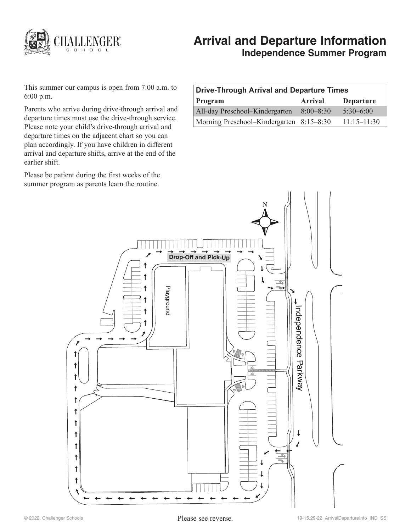

# **Arrival and Departure Information Independence Summer Program**

This summer our campus is open from 7:00 a.m. to 6:00 p.m.

Parents who arrive during drive-through arrival and departure times must use the drive-through service. Please note your child's drive-through arrival and departure times on the adjacent chart so you can plan accordingly. If you have children in different arrival and departure shifts, arrive at the end of the earlier shift.

Please be patient during the first weeks of the summer program as parents learn the routine.

| <b>Drive-Through Arrival and Departure Times</b> |               |                  |
|--------------------------------------------------|---------------|------------------|
| Program                                          | Arrival       | <b>Departure</b> |
| All-day Preschool-Kindergarten                   | $8:00 - 8:30$ | $5:30-6:00$      |
| Morning Preschool–Kindergarten 8:15–8:30         |               | $11:15 - 11:30$  |